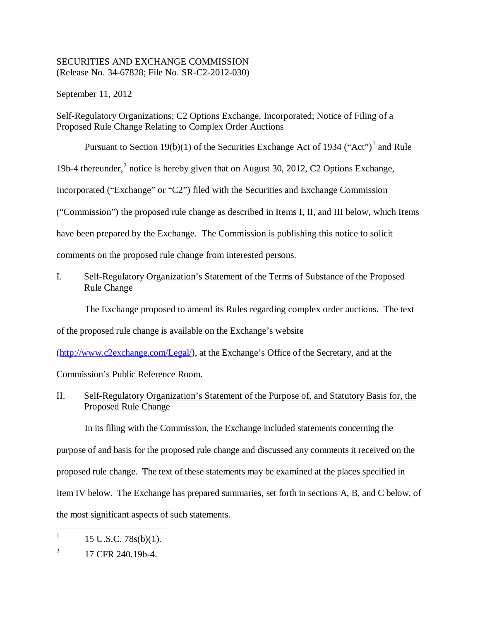## SECURITIES AND EXCHANGE COMMISSION (Release No. 34-67828; File No. SR-C2-2012-030)

September 11, 2012

Self-Regulatory Organizations; C2 Options Exchange, Incorporated; Notice of Filing of a Proposed Rule Change Relating to Complex Order Auctions

Pursuant to Section [1](#page-0-0)9(b)(1) of the Securities Exchange Act of 1934 ("Act")<sup>1</sup> and Rule

19b-4 thereunder,<sup>[2](#page-0-1)</sup> notice is hereby given that on August 30, 2012, C2 Options Exchange,

Incorporated ("Exchange" or "C2") filed with the Securities and Exchange Commission

("Commission") the proposed rule change as described in Items I, II, and III below, which Items

have been prepared by the Exchange. The Commission is publishing this notice to solicit

comments on the proposed rule change from interested persons.

I. Self-Regulatory Organization's Statement of the Terms of Substance of the Proposed Rule Change

The Exchange proposed to amend its Rules regarding complex order auctions. The text

of the proposed rule change is available on the Exchange's website

[\(http://www.c2exchange.com/Legal/\)](http://www.c2exchange.com/Legal/), at the Exchange's Office of the Secretary, and at the

Commission's Public Reference Room.

II. Self-Regulatory Organization's Statement of the Purpose of, and Statutory Basis for, the Proposed Rule Change

In its filing with the Commission, the Exchange included statements concerning the purpose of and basis for the proposed rule change and discussed any comments it received on the proposed rule change. The text of these statements may be examined at the places specified in Item IV below. The Exchange has prepared summaries, set forth in sections A, B, and C below, of the most significant aspects of such statements.

<span id="page-0-0"></span><sup>&</sup>lt;sup>1</sup> 15 U.S.C. 78s(b)(1).

<span id="page-0-1"></span> $^{2}$  17 CFR 240.19b-4.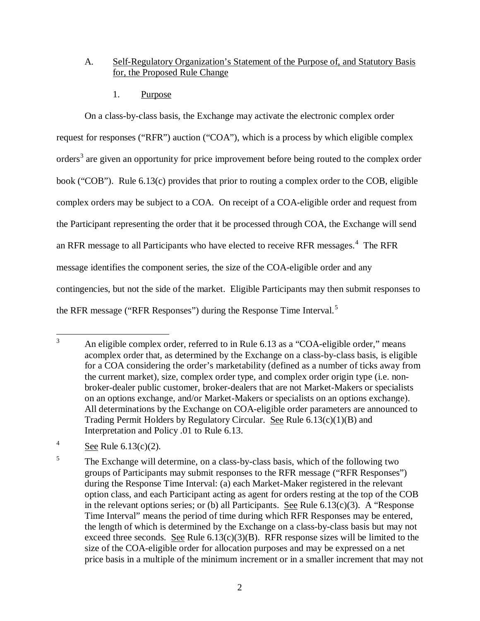# A. Self-Regulatory Organization's Statement of the Purpose of, and Statutory Basis for, the Proposed Rule Change

1. Purpose

On a class-by-class basis, the Exchange may activate the electronic complex order request for responses ("RFR") auction ("COA"), which is a process by which eligible complex orders<sup>[3](#page-1-0)</sup> are given an opportunity for price improvement before being routed to the complex order book ("COB"). Rule 6.13(c) provides that prior to routing a complex order to the COB, eligible complex orders may be subject to a COA. On receipt of a COA-eligible order and request from the Participant representing the order that it be processed through COA, the Exchange will send an RFR message to all Participants who have elected to receive RFR messages.<sup>[4](#page-1-1)</sup> The RFR message identifies the component series, the size of the COA-eligible order and any contingencies, but not the side of the market. Eligible Participants may then submit responses to the RFR message ("RFR Responses") during the Response Time Interval.<sup>[5](#page-1-2)</sup>

<span id="page-1-1"></span><sup>4</sup> See Rule  $6.13(c)(2)$ .

<span id="page-1-0"></span><sup>&</sup>lt;sup>3</sup> An eligible complex order, referred to in Rule 6.13 as a "COA-eligible order," means acomplex order that, as determined by the Exchange on a class-by-class basis, is eligible for a COA considering the order's marketability (defined as a number of ticks away from the current market), size, complex order type, and complex order origin type (i.e. nonbroker-dealer public customer, broker-dealers that are not Market-Makers or specialists on an options exchange, and/or Market-Makers or specialists on an options exchange). All determinations by the Exchange on COA-eligible order parameters are announced to Trading Permit Holders by Regulatory Circular. See Rule 6.13(c)(1)(B) and Interpretation and Policy .01 to Rule 6.13.

<span id="page-1-2"></span><sup>&</sup>lt;sup>5</sup> The Exchange will determine, on a class-by-class basis, which of the following two groups of Participants may submit responses to the RFR message ("RFR Responses") during the Response Time Interval: (a) each Market-Maker registered in the relevant option class, and each Participant acting as agent for orders resting at the top of the COB in the relevant options series; or (b) all Participants. See Rule  $6.13(c)(3)$ . A "Response Time Interval" means the period of time during which RFR Responses may be entered, the length of which is determined by the Exchange on a class-by-class basis but may not exceed three seconds. See Rule  $6.13(c)(3)(B)$ . RFR response sizes will be limited to the size of the COA-eligible order for allocation purposes and may be expressed on a net price basis in a multiple of the minimum increment or in a smaller increment that may not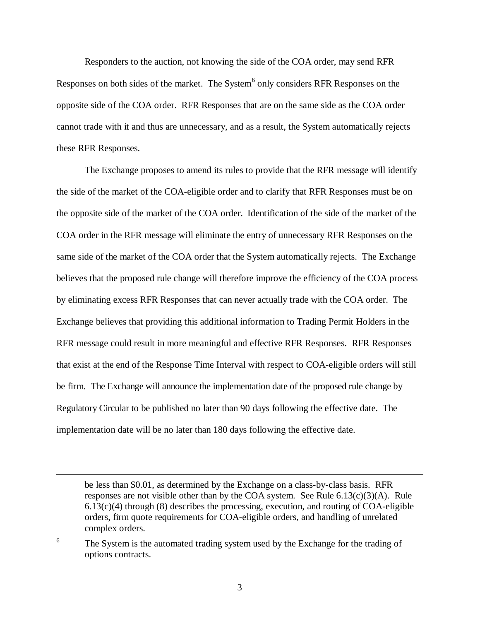Responders to the auction, not knowing the side of the COA order, may send RFR Responses on both sides of the market. The System<sup>[6](#page-2-0)</sup> only considers RFR Responses on the opposite side of the COA order. RFR Responses that are on the same side as the COA order cannot trade with it and thus are unnecessary, and as a result, the System automatically rejects these RFR Responses.

The Exchange proposes to amend its rules to provide that the RFR message will identify the side of the market of the COA-eligible order and to clarify that RFR Responses must be on the opposite side of the market of the COA order. Identification of the side of the market of the COA order in the RFR message will eliminate the entry of unnecessary RFR Responses on the same side of the market of the COA order that the System automatically rejects. The Exchange believes that the proposed rule change will therefore improve the efficiency of the COA process by eliminating excess RFR Responses that can never actually trade with the COA order. The Exchange believes that providing this additional information to Trading Permit Holders in the RFR message could result in more meaningful and effective RFR Responses. RFR Responses that exist at the end of the Response Time Interval with respect to COA-eligible orders will still be firm. The Exchange will announce the implementation date of the proposed rule change by Regulatory Circular to be published no later than 90 days following the effective date. The implementation date will be no later than 180 days following the effective date.

 $\overline{a}$ 

be less than \$0.01, as determined by the Exchange on a class-by-class basis. RFR responses are not visible other than by the COA system. See Rule  $6.13(c)(3)(A)$ . Rule 6.13(c)(4) through (8) describes the processing, execution, and routing of COA-eligible orders, firm quote requirements for COA-eligible orders, and handling of unrelated complex orders.

<span id="page-2-0"></span><sup>&</sup>lt;sup>6</sup> The System is the automated trading system used by the Exchange for the trading of options contracts.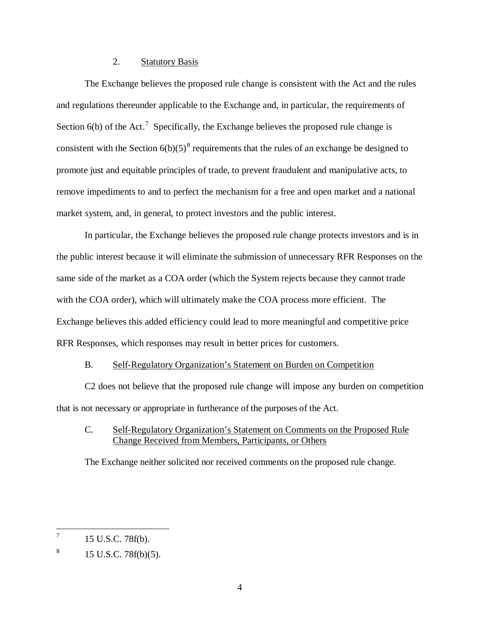## 2. Statutory Basis

The Exchange believes the proposed rule change is consistent with the Act and the rules and regulations thereunder applicable to the Exchange and, in particular, the requirements of Section  $6(b)$  of the Act.<sup>[7](#page-3-0)</sup> Specifically, the Exchange believes the proposed rule change is consistent with the Section  $6(b)(5)^8$  $6(b)(5)^8$  requirements that the rules of an exchange be designed to promote just and equitable principles of trade, to prevent fraudulent and manipulative acts, to remove impediments to and to perfect the mechanism for a free and open market and a national market system, and, in general, to protect investors and the public interest.

In particular, the Exchange believes the proposed rule change protects investors and is in the public interest because it will eliminate the submission of unnecessary RFR Responses on the same side of the market as a COA order (which the System rejects because they cannot trade with the COA order), which will ultimately make the COA process more efficient. The Exchange believes this added efficiency could lead to more meaningful and competitive price RFR Responses, which responses may result in better prices for customers.

### B. Self-Regulatory Organization's Statement on Burden on Competition

C2 does not believe that the proposed rule change will impose any burden on competition that is not necessary or appropriate in furtherance of the purposes of the Act.

# C. Self-Regulatory Organization's Statement on Comments on the Proposed Rule Change Received from Members, Participants, or Others

The Exchange neither solicited nor received comments on the proposed rule change.

<span id="page-3-0"></span> $^7$  15 U.S.C. 78f(b).

<span id="page-3-1"></span> $8 \t 15 \t U.S.C. 78f(b)(5).$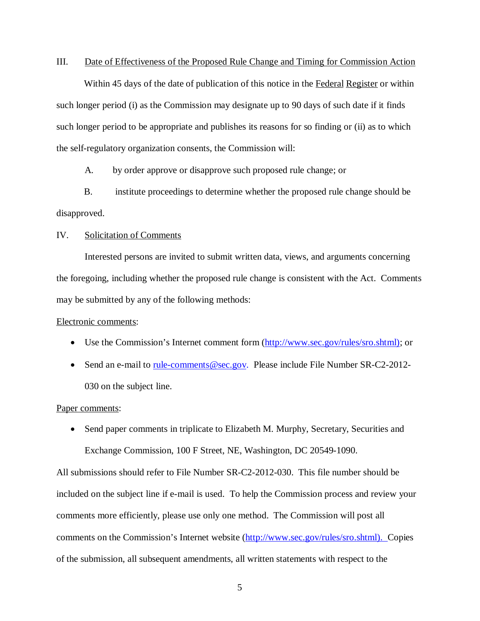### III. Date of Effectiveness of the Proposed Rule Change and Timing for Commission Action

Within 45 days of the date of publication of this notice in the Federal Register or within such longer period (i) as the Commission may designate up to 90 days of such date if it finds such longer period to be appropriate and publishes its reasons for so finding or (ii) as to which the self-regulatory organization consents, the Commission will:

A. by order approve or disapprove such proposed rule change; or

B. institute proceedings to determine whether the proposed rule change should be disapproved.

### IV. Solicitation of Comments

Interested persons are invited to submit written data, views, and arguments concerning the foregoing, including whether the proposed rule change is consistent with the Act. Comments may be submitted by any of the following methods:

#### Electronic comments:

- Use the Commission's Internet comment form [\(http://www.sec.gov/rules/sro.shtml\)](http://www.sec.gov/rules/sro.shtml); or
- Send an e-mail to [rule-comments@sec.gov.](mailto:rule-comments@sec.gov) Please include File Number SR-C2-2012-030 on the subject line.

#### Paper comments:

• Send paper comments in triplicate to Elizabeth M. Murphy, Secretary, Securities and Exchange Commission, 100 F Street, NE, Washington, DC 20549-1090.

All submissions should refer to File Number SR-C2-2012-030. This file number should be included on the subject line if e-mail is used. To help the Commission process and review your comments more efficiently, please use only one method. The Commission will post all comments on the Commission's Internet website [\(http://www.sec.gov/rules/sro.shtml\)](http://www.sec.gov/rules/sro.shtml). Copies of the submission, all subsequent amendments, all written statements with respect to the

5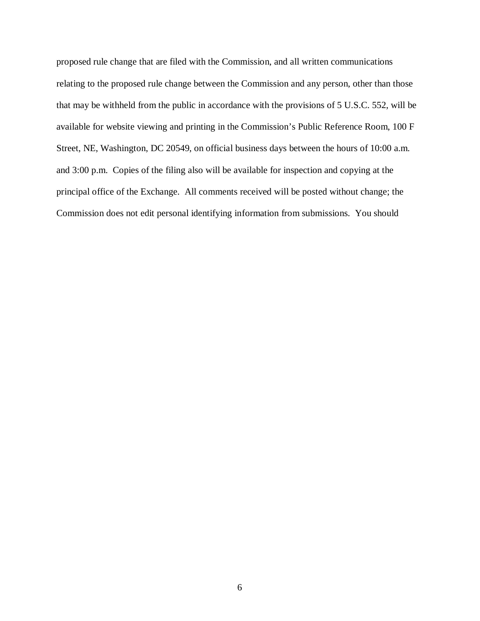proposed rule change that are filed with the Commission, and all written communications relating to the proposed rule change between the Commission and any person, other than those that may be withheld from the public in accordance with the provisions of 5 U.S.C. 552, will be available for website viewing and printing in the Commission's Public Reference Room, 100 F Street, NE, Washington, DC 20549, on official business days between the hours of 10:00 a.m. and 3:00 p.m. Copies of the filing also will be available for inspection and copying at the principal office of the Exchange. All comments received will be posted without change; the Commission does not edit personal identifying information from submissions. You should